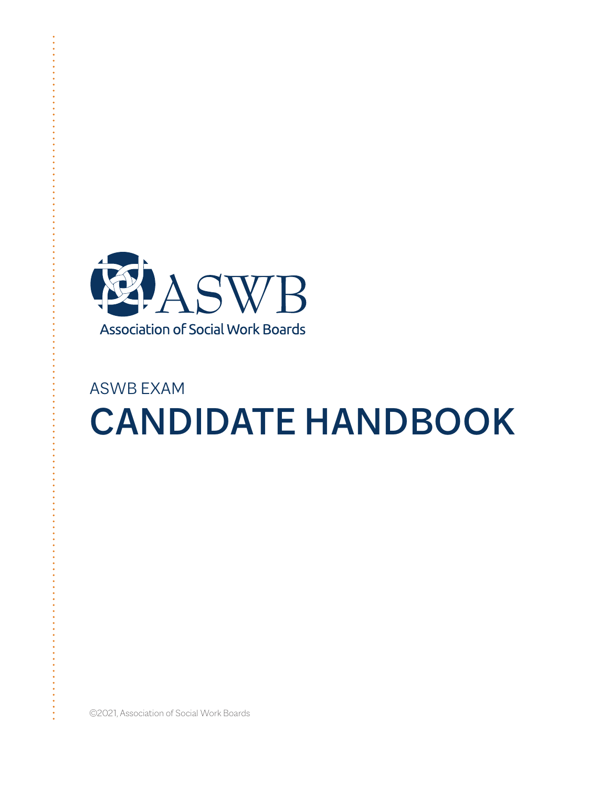

# ASWB EXAM CANDIDATE HANDBOOK

©2021, Association of Social Work Boards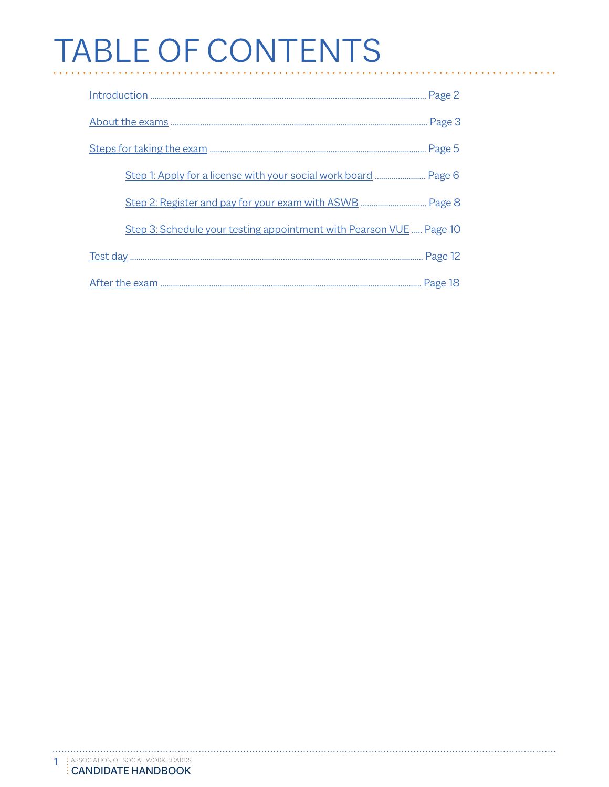# TABLE OF CONTENTS

| Step 1: Apply for a license with your social work board  Page 6     |
|---------------------------------------------------------------------|
|                                                                     |
| Step 3: Schedule your testing appointment with Pearson VUE  Page 10 |
|                                                                     |
|                                                                     |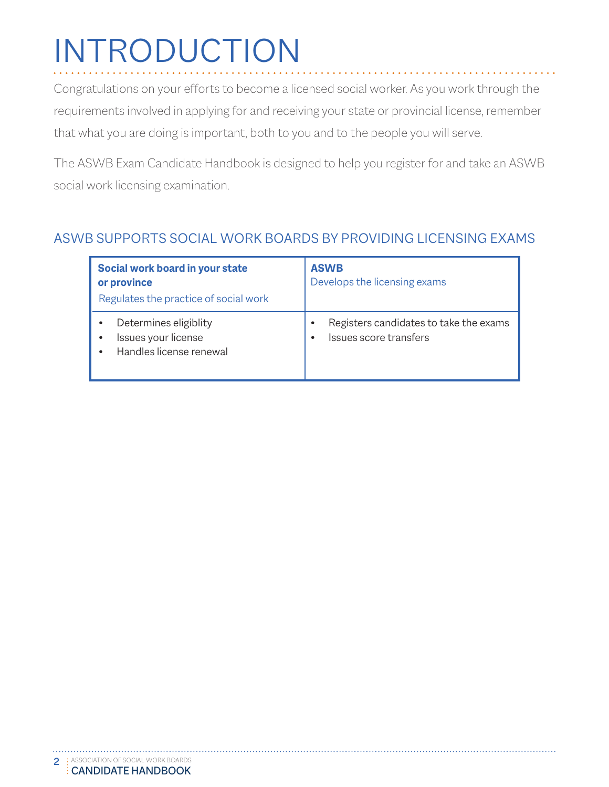# <span id="page-2-0"></span>INTRODUCTION

Congratulations on your efforts to become a licensed social worker. As you work through the requirements involved in applying for and receiving your state or provincial license, remember that what you are doing is important, both to you and to the people you will serve.

The ASWB Exam Candidate Handbook is designed to help you register for and take an ASWB social work licensing examination.

#### ASWB SUPPORTS SOCIAL WORK BOARDS BY PROVIDING LICENSING EXAMS

| Social work board in your state<br>or province<br>Regulates the practice of social work | <b>ASWB</b><br>Develops the licensing exams |
|-----------------------------------------------------------------------------------------|---------------------------------------------|
| Determines eligiblity                                                                   | Registers candidates to take the exams      |
| Issues your license                                                                     | ٠                                           |
| $\bullet$                                                                               | Issues score transfers                      |
| Handles license renewal                                                                 | $\bullet$                                   |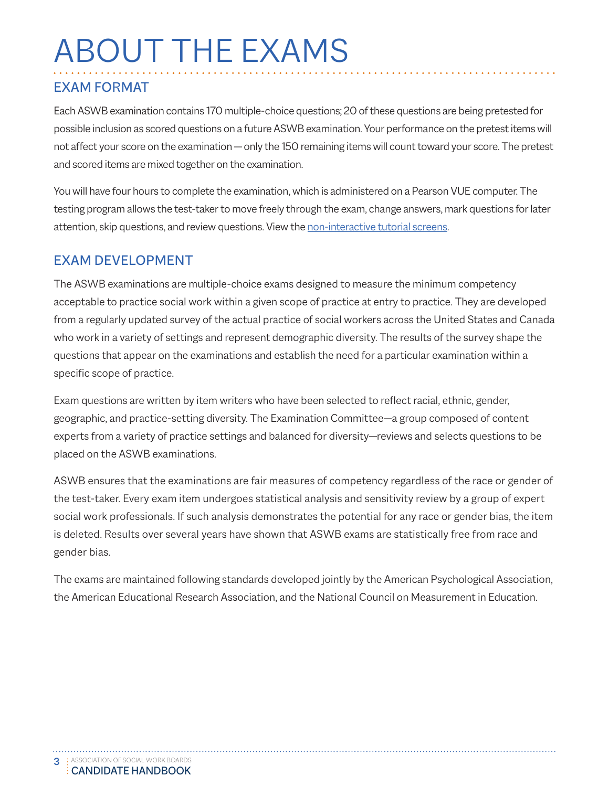# <span id="page-3-0"></span>ABOUT THE EXAMS

#### EXAM FORMAT

Each ASWB examination contains 170 multiple-choice questions; 20 of these questions are being pretested for possible inclusion as scored questions on a future ASWB examination. Your performance on the pretest items will not affect your score on the examination — only the 150 remaining items will count toward your score. The pretest and scored items are mixed together on the examination.

You will have four hours to complete the examination, which is administered on a Pearson VUE computer. The testing program allows the test-taker to move freely through the exam, change answers, mark questions for later attention, skip questions, and review questions. View [the non-interactive tutorial scree](http://www.pearsonvue.com/aswb/tutorial_screens.pdf)ns.

#### EXAM DEVELOPMENT

The ASWB examinations are multiple-choice exams designed to measure the minimum competency acceptable to practice social work within a given scope of practice at entry to practice. They are developed from a regularly updated survey of the actual practice of social workers across the United States and Canada who work in a variety of settings and represent demographic diversity. The results of the survey shape the questions that appear on the examinations and establish the need for a particular examination within a specific scope of practice.

Exam questions are written by item writers who have been selected to reflect racial, ethnic, gender, geographic, and practice-setting diversity. The Examination Committee—a group composed of content experts from a variety of practice settings and balanced for diversity—reviews and selects questions to be placed on the ASWB examinations.

ASWB ensures that the examinations are fair measures of competency regardless of the race or gender of the test-taker. Every exam item undergoes statistical analysis and sensitivity review by a group of expert social work professionals. If such analysis demonstrates the potential for any race or gender bias, the item is deleted. Results over several years have shown that ASWB exams are statistically free from race and gender bias.

The exams are maintained following standards developed jointly by the American Psychological Association, the American Educational Research Association, and the National Council on Measurement in Education.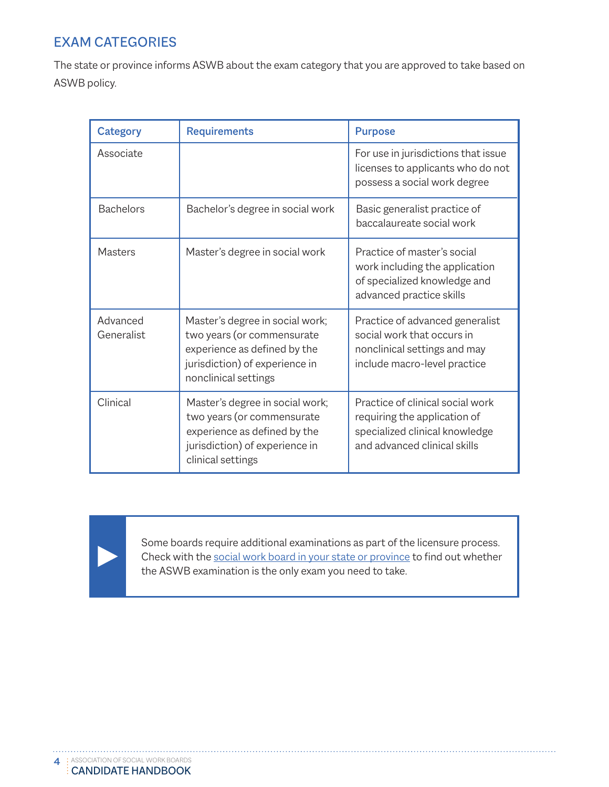### EXAM CATEGORIES

The state or province informs ASWB about the exam category that you are approved to take based on ASWB policy.

| <b>Category</b>        | <b>Requirements</b>                                                                                                                                     | <b>Purpose</b>                                                                                                                     |  |
|------------------------|---------------------------------------------------------------------------------------------------------------------------------------------------------|------------------------------------------------------------------------------------------------------------------------------------|--|
| Associate              |                                                                                                                                                         | For use in jurisdictions that issue<br>licenses to applicants who do not<br>possess a social work degree                           |  |
| <b>Bachelors</b>       | Bachelor's degree in social work                                                                                                                        | Basic generalist practice of<br>baccalaureate social work                                                                          |  |
| Masters                | Master's degree in social work                                                                                                                          | Practice of master's social<br>work including the application<br>of specialized knowledge and<br>advanced practice skills          |  |
| Advanced<br>Generalist | Master's degree in social work;<br>two years (or commensurate<br>experience as defined by the<br>jurisdiction) of experience in<br>nonclinical settings | Practice of advanced generalist<br>social work that occurs in<br>nonclinical settings and may<br>include macro-level practice      |  |
| Clinical               | Master's degree in social work;<br>two years (or commensurate<br>experience as defined by the<br>jurisdiction) of experience in<br>clinical settings    | Practice of clinical social work<br>requiring the application of<br>specialized clinical knowledge<br>and advanced clinical skills |  |

Some boards require additional examinations as part of the licensure process. Check with the [social work board in your state or p](http://aswbsocialworkregulations.org/licensingWebsitesReportBuilder.jsp)rovince to find out whether the ASWB examination is the only exam you need to take.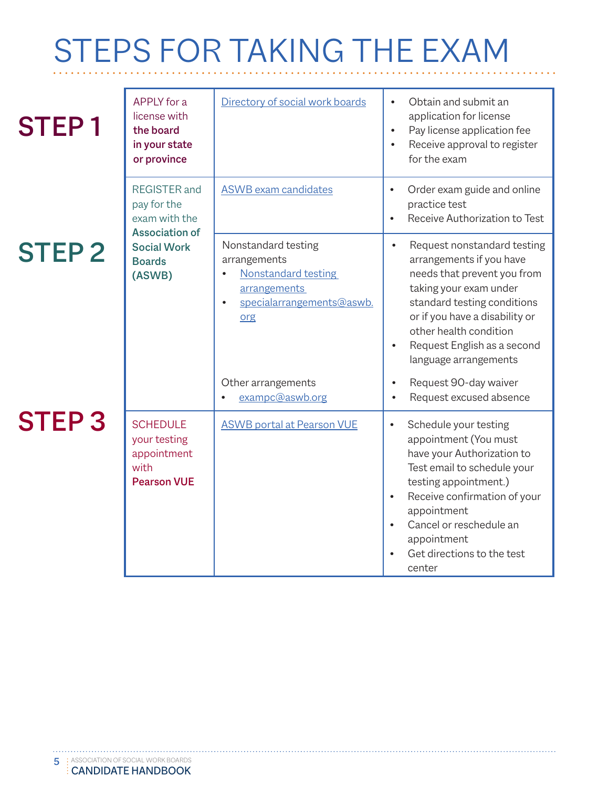# <span id="page-5-0"></span>STEPS FOR TAKING THE EXAM

| <b>STEP1</b> | APPLY for a<br>license with<br>the board<br>in your state<br>or province     | Directory of social work boards                                                                                                                 | Obtain and submit an<br>application for license<br>Pay license application fee<br>$\bullet$<br>Receive approval to register<br>for the exam                                                                                                                                                                  |
|--------------|------------------------------------------------------------------------------|-------------------------------------------------------------------------------------------------------------------------------------------------|--------------------------------------------------------------------------------------------------------------------------------------------------------------------------------------------------------------------------------------------------------------------------------------------------------------|
|              | <b>REGISTER</b> and<br>pay for the<br>exam with the<br><b>Association of</b> | <b>ASWB</b> exam candidates                                                                                                                     | Order exam guide and online<br>$\bullet$<br>practice test<br>Receive Authorization to Test                                                                                                                                                                                                                   |
| <b>STEP2</b> | <b>Social Work</b><br><b>Boards</b><br>(ASWB)                                | Nonstandard testing<br>arrangements<br><b>Nonstandard testing</b><br>$\bullet$<br>arrangements<br>specialarrangements@aswb.<br>$\bullet$<br>org | Request nonstandard testing<br>$\bullet$<br>arrangements if you have<br>needs that prevent you from<br>taking your exam under<br>standard testing conditions<br>or if you have a disability or<br>other health condition<br>Request English as a second<br>$\bullet$<br>language arrangements                |
|              |                                                                              | Other arrangements<br>exampc@aswb.org                                                                                                           | Request 90-day waiver<br>Request excused absence                                                                                                                                                                                                                                                             |
| <b>STEP3</b> | <b>SCHEDULE</b><br>your testing<br>appointment<br>with<br><b>Pearson VUE</b> | <b>ASWB portal at Pearson VUE</b>                                                                                                               | Schedule your testing<br>$\bullet$<br>appointment (You must<br>have your Authorization to<br>Test email to schedule your<br>testing appointment.)<br>Receive confirmation of your<br>$\bullet$<br>appointment<br>Cancel or reschedule an<br>appointment<br>Get directions to the test<br>$\bullet$<br>center |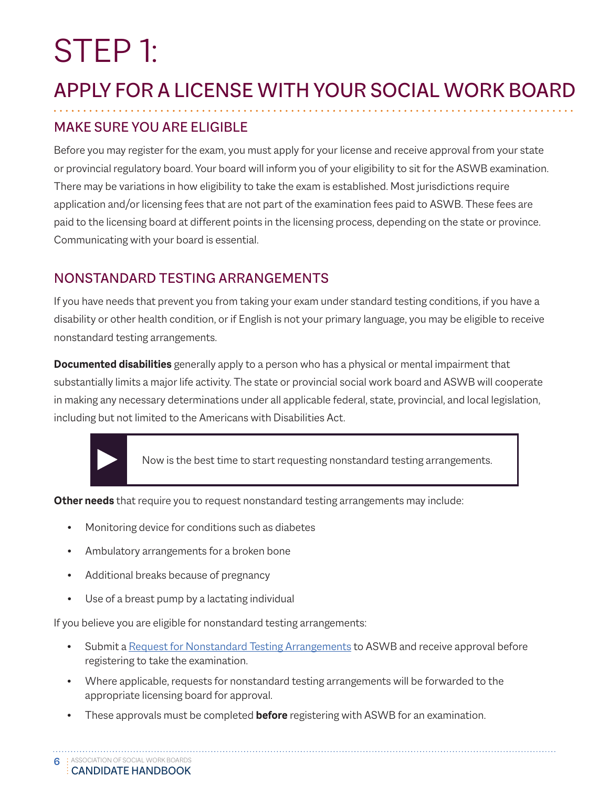# <span id="page-6-0"></span>STEP 1:

# APPLY FOR A LICENSE WITH YOUR SOCIAL WORK BOARD

## MAKE SURE YOU ARE ELIGIBLE

Before you may register for the exam, you must apply for your license and receive approval from your state or provincial regulatory board. Your board will inform you of your eligibility to sit for the ASWB examination. There may be variations in how eligibility to take the exam is established. Most jurisdictions require application and/or licensing fees that are not part of the examination fees paid to ASWB. These fees are paid to the licensing board at different points in the licensing process, depending on the state or province. Communicating with your board is essential.

### NONSTANDARD TESTING ARRANGEMENTS

If you have needs that prevent you from taking your exam under standard testing conditions, if you have a disability or other health condition, or if English is not your primary language, you may be eligible to receive nonstandard testing arrangements.

**Documented disabilities** generally apply to a person who has a physical or mental impairment that substantially limits a major life activity. The state or provincial social work board and ASWB will cooperate in making any necessary determinations under all applicable federal, state, provincial, and local legislation, including but not limited to the Americans with Disabilities Act.



Now is the best time to start requesting nonstandard testing arrangements.

**Other needs** that require you to request nonstandard testing arrangements may include:

- Monitoring device for conditions such as diabetes
- Ambulatory arrangements for a broken bone
- Additional breaks because of pregnancy
- Use of a breast pump by a lactating individual

If you believe you are eligible for nonstandard testing arrangements:

- Submit a [Request for Nonstandard Testing Arrangement](https://www.aswb.org/exam-candidates/testing-accommodations/)s to ASWB and receive approval before registering to take the examination.
- Where applicable, requests for nonstandard testing arrangements will be forwarded to the appropriate licensing board for approval.
- These approvals must be completed **before** registering with ASWB for an examination.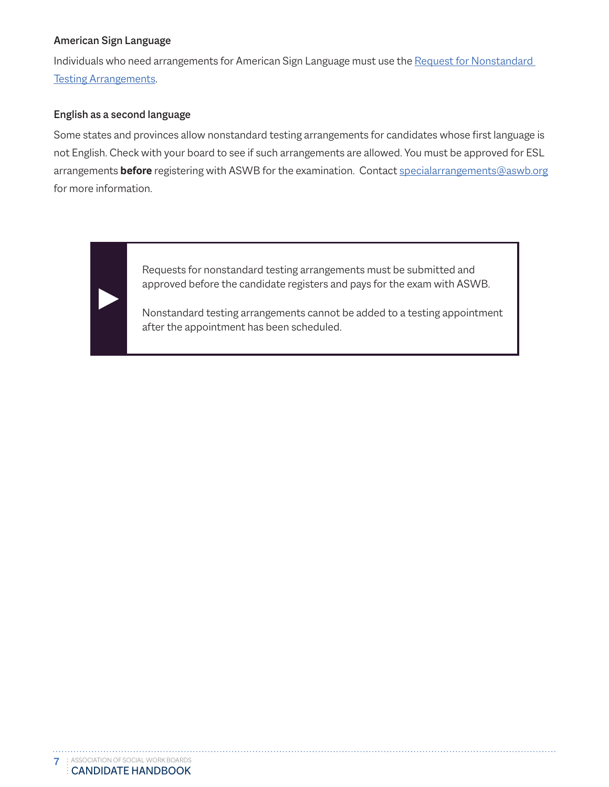#### American Sign Language

Individuals who need arrangements for American Sign Language must use the [Request for Nonstandard](https://www.aswb.org/exam-candidates/testing-accommodations/)  [Testing Arrangement](https://www.aswb.org/exam-candidates/testing-accommodations/)s.

#### English as a second language

Some states and provinces allow nonstandard testing arrangements for candidates whose first language is not English. Check with your board to see if such arrangements are allowed. You must be approved for ESL arrangements **before** registering with ASWB for the examination. Conta[ct specialarrangements@aswb.or](mailto:specialarrangements%40aswb.org?subject=)g for more information.

> Requests for nonstandard testing arrangements must be submitted and approved before the candidate registers and pays for the exam with ASWB.

Nonstandard testing arrangements cannot be added to a testing appointment after the appointment has been scheduled.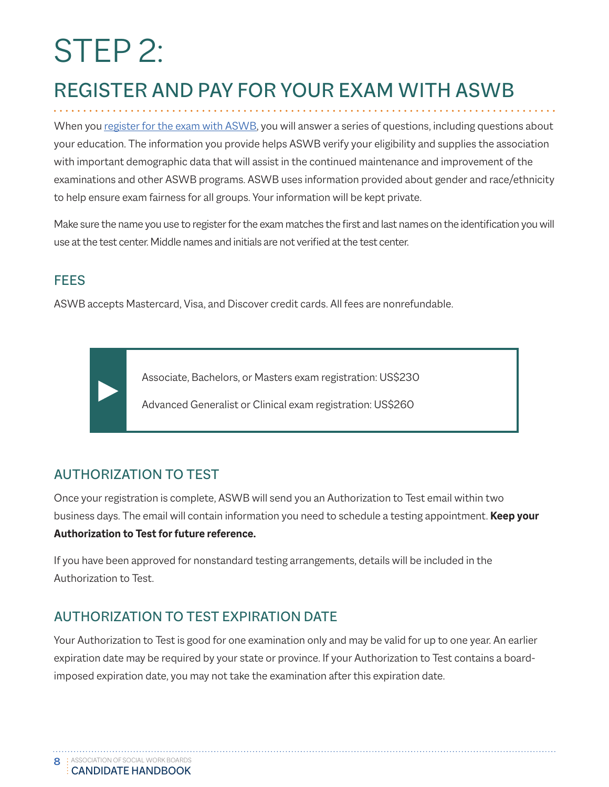# <span id="page-8-0"></span>STEP 2:

# REGISTER AND PAY FOR YOUR EXAM WITH ASWB

When you [register for the exam with ASWB](https://www.aswb.org/exam-candidates/exam-registration/), you will answer a series of questions, including questions about your education. The information you provide helps ASWB verify your eligibility and supplies the association with important demographic data that will assist in the continued maintenance and improvement of the examinations and other ASWB programs. ASWB uses information provided about gender and race/ethnicity to help ensure exam fairness for all groups. Your information will be kept private.

Make sure the name you use to register for the exam matches the first and last names on the identification you will use at the test center. Middle names and initials are not verified at the test center.

## **FEES**

ASWB accepts Mastercard, Visa, and Discover credit cards. All fees are nonrefundable.

Associate, Bachelors, or Masters exam registration: US\$230

Advanced Generalist or Clinical exam registration: US\$260

## AUTHORIZATION TO TEST

Once your registration is complete, ASWB will send you an Authorization to Test email within two business days. The email will contain information you need to schedule a testing appointment. **Keep your Authorization to Test for future reference.**

If you have been approved for nonstandard testing arrangements, details will be included in the Authorization to Test.

### AUTHORIZATION TO TEST EXPIRATION DATE

Your Authorization to Test is good for one examination only and may be valid for up to one year. An earlier expiration date may be required by your state or province. If your Authorization to Test contains a boardimposed expiration date, you may not take the examination after this expiration date.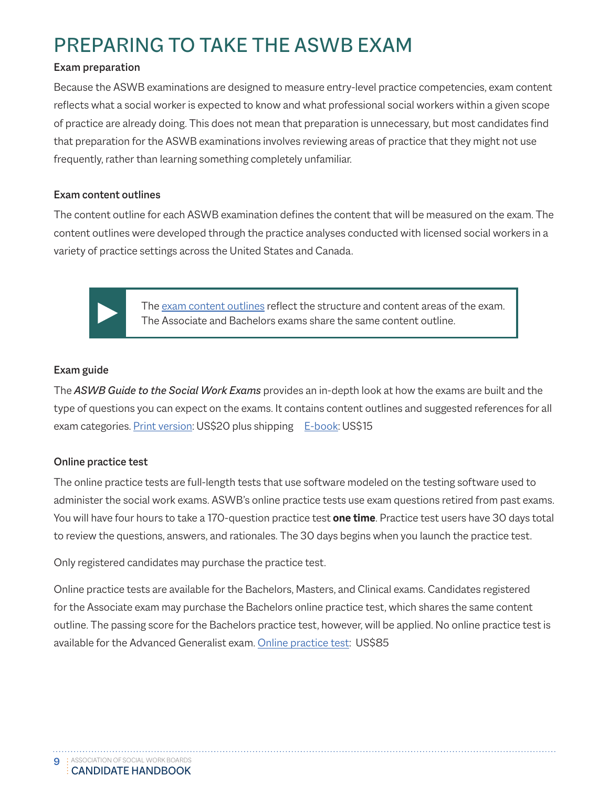# PREPARING TO TAKE THE ASWB EXAM

#### Exam preparation

Because the ASWB examinations are designed to measure entry-level practice competencies, exam content reflects what a social worker is expected to know and what professional social workers within a given scope of practice are already doing. This does not mean that preparation is unnecessary, but most candidates find that preparation for the ASWB examinations involves reviewing areas of practice that they might not use frequently, rather than learning something completely unfamiliar.

#### Exam content outlines

The content outline for each ASWB examination defines the content that will be measured on the exam. The content outlines were developed through the practice analyses conducted with licensed social workers in a variety of practice settings across the United States and Canada.



The [exam content outlines](https://www.aswb.org/exam/measuring-social-work-competence/content-outlines/) reflect the structure and content areas of the exam. The Associate and Bachelors exams share the same content outline.

#### Exam guide

The *ASWB Guide to the Social Work Exams* provides an in-depth look at how the exams are built and the type of questions you can expect on the exams. It contains content outlines and suggested references for all exam categories. [Print version](https://www.aswb.org/exam/getting-ready-for-the-exam/aswb-guide-to-the-social-work-exams/): US\$20 plus shipping [E-book:](https://www.aswb.org/exam/getting-ready-for-the-exam/aswb-guide-to-the-social-work-exams/) US\$15

#### Online practice test

The online practice tests are full-length tests that use software modeled on the testing software used to administer the social work exams. ASWB's online practice tests use exam questions retired from past exams. You will have four hours to take a 170-question practice test **one time**. Practice test users have 30 days total to review the questions, answers, and rationales. The 30 days begins when you launch the practice test.

Only registered candidates may purchase the practice test.

Online practice tests are available for the Bachelors, Masters, and Clinical exams. Candidates registered for the Associate exam may purchase the Bachelors online practice test, which shares the same content outline. The passing score for the Bachelors practice test, however, will be applied. No online practice test is available for the Advanced Generalist exam. [Online practice test](https://www.aswb.org/exam/getting-ready-for-the-exam/online-practice-test/): US\$85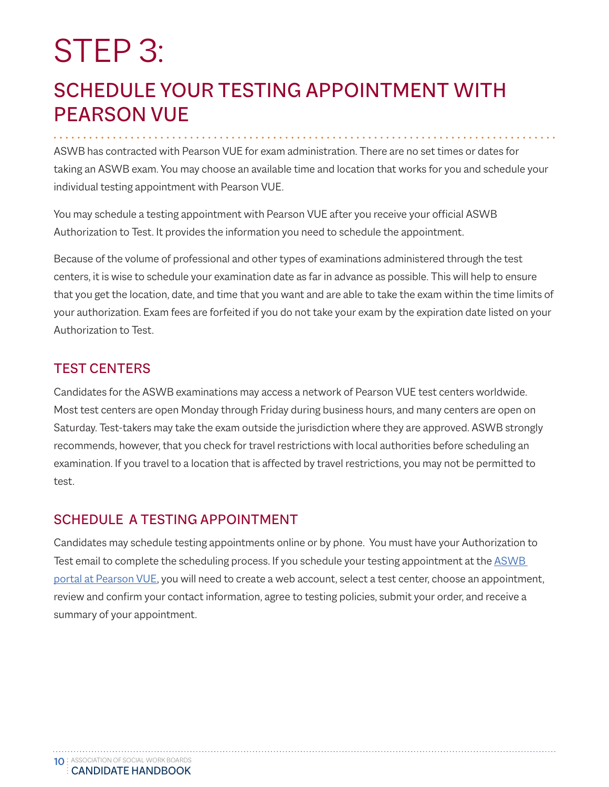# <span id="page-10-0"></span>STEP 3:

## SCHEDULE YOUR TESTING APPOINTMENT WITH PEARSON VUE

ASWB has contracted with Pearson VUE for exam administration. There are no set times or dates for taking an ASWB exam. You may choose an available time and location that works for you and schedule your individual testing appointment with Pearson VUE.

You may schedule a testing appointment with Pearson VUE after you receive your official ASWB Authorization to Test. It provides the information you need to schedule the appointment.

Because of the volume of professional and other types of examinations administered through the test centers, it is wise to schedule your examination date as far in advance as possible. This will help to ensure that you get the location, date, and time that you want and are able to take the exam within the time limits of your authorization. Exam fees are forfeited if you do not take your exam by the expiration date listed on your Authorization to Test.

#### TEST CENTERS

Candidates for the ASWB examinations may access a network of Pearson VUE test centers worldwide. Most test centers are open Monday through Friday during business hours, and many centers are open on Saturday. Test-takers may take the exam outside the jurisdiction where they are approved. ASWB strongly recommends, however, that you check for travel restrictions with local authorities before scheduling an examination. If you travel to a location that is affected by travel restrictions, you may not be permitted to test.

## SCHEDULE A TESTING APPOINTMENT

Candidates may schedule testing appointments online or by phone. You must have your Authorization to Test email to complete the scheduling process. If you schedule your testing appointment at the ASWB [portal at Pearson](https://home.pearsonvue.com/aswb) VUE, you will need to create a web account, select a test center, choose an appointment, review and confirm your contact information, agree to testing policies, submit your order, and receive a summary of your appointment.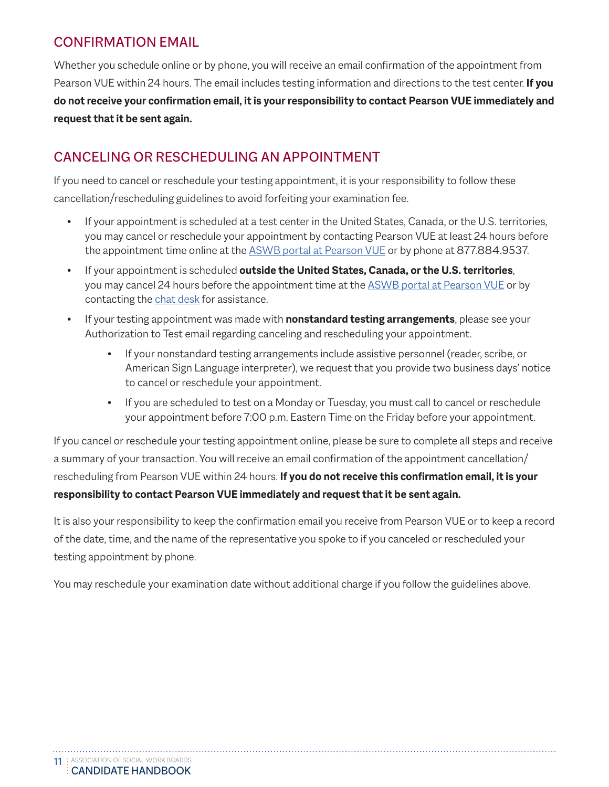#### CONFIRMATION EMAIL

Whether you schedule online or by phone, you will receive an email confirmation of the appointment from Pearson VUE within 24 hours. The email includes testing information and directions to the test center. **If you do not receive your confirmation email, it is your responsibility to contact Pearson VUE immediately and request that it be sent again.**

### CANCELING OR RESCHEDULING AN APPOINTMENT

If you need to cancel or reschedule your testing appointment, it is your responsibility to follow these cancellation/rescheduling guidelines to avoid forfeiting your examination fee.

- If your appointment is scheduled at a test center in the United States, Canada, or the U.S. territories, you may cancel or reschedule your appointment by contacting Pearson VUE at least 24 hours before the appointment time online [at the ASWB portal at Pearson VUE](https://home.pearsonvue.com/aswb) or by phone at 877.884.9537.
- If your appointment is scheduled **outside the United States, Canada, or the U.S. territories**, you may cancel 24 hours before the appointment time at the [ASWB portal at Pearson VUE](https://home.pearsonvue.com/aswb) or by contacting the [chat desk](https://home.pearsonvue.com/aswb/contact) for assistance.
- If your testing appointment was made with **nonstandard testing arrangements**, please see your Authorization to Test email regarding canceling and rescheduling your appointment.
	- If your nonstandard testing arrangements include assistive personnel (reader, scribe, or American Sign Language interpreter), we request that you provide two business days' notice to cancel or reschedule your appointment.
	- If you are scheduled to test on a Monday or Tuesday, you must call to cancel or reschedule your appointment before 7:00 p.m. Eastern Time on the Friday before your appointment.

If you cancel or reschedule your testing appointment online, please be sure to complete all steps and receive a summary of your transaction. You will receive an email confirmation of the appointment cancellation/ rescheduling from Pearson VUE within 24 hours. **If you do not receive this confirmation email, it is your responsibility to contact Pearson VUE immediately and request that it be sent again.**

It is also your responsibility to keep the confirmation email you receive from Pearson VUE or to keep a record of the date, time, and the name of the representative you spoke to if you canceled or rescheduled your testing appointment by phone.

You may reschedule your examination date without additional charge if you follow the guidelines above.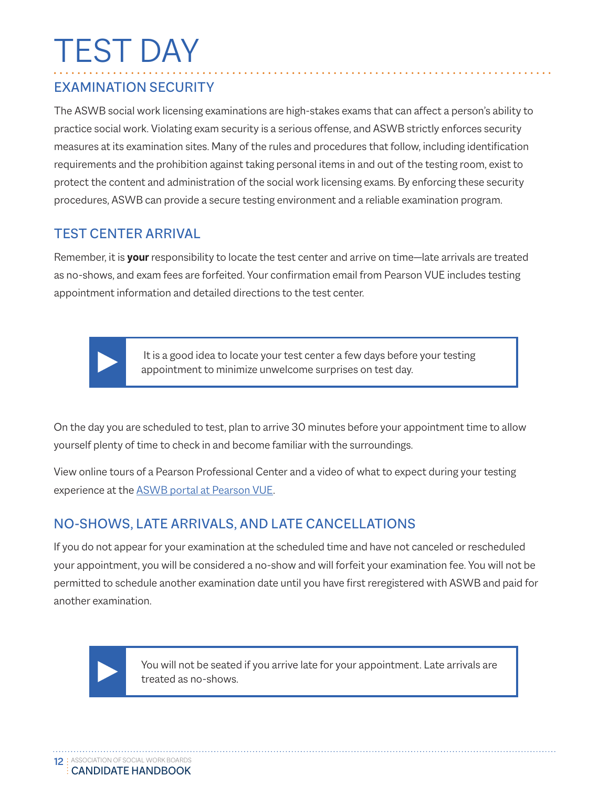# <span id="page-12-0"></span>TEST DAY

#### EXAMINATION SECURITY

The ASWB social work licensing examinations are high-stakes exams that can affect a person's ability to practice social work. Violating exam security is a serious offense, and ASWB strictly enforces security measures at its examination sites. Many of the rules and procedures that follow, including identification requirements and the prohibition against taking personal items in and out of the testing room, exist to protect the content and administration of the social work licensing exams. By enforcing these security procedures, ASWB can provide a secure testing environment and a reliable examination program.

#### TEST CENTER ARRIVAL

Remember, it is **your** responsibility to locate the test center and arrive on time—late arrivals are treated as no-shows, and exam fees are forfeited. Your confirmation email from Pearson VUE includes testing appointment information and detailed directions to the test center.



 It is a good idea to locate your test center a few days before your testing appointment to minimize unwelcome surprises on test day.

On the day you are scheduled to test, plan to arrive 30 minutes before your appointment time to allow yourself plenty of time to check in and become familiar with the surroundings.

View online tours of a Pearson Professional Center and a video of what to expect during your testing experienc[e at th](https://home.pearsonvue.com/aswb)e [ASWB portal at Pearson VUE.](https://home.pearsonvue.com/aswb)

### NO-SHOWS, LATE ARRIVALS, AND LATE CANCELLATIONS

If you do not appear for your examination at the scheduled time and have not canceled or rescheduled your appointment, you will be considered a no-show and will forfeit your examination fee. You will not be permitted to schedule another examination date until you have first reregistered with ASWB and paid for another examination.



You will not be seated if you arrive late for your appointment. Late arrivals are treated as no-shows.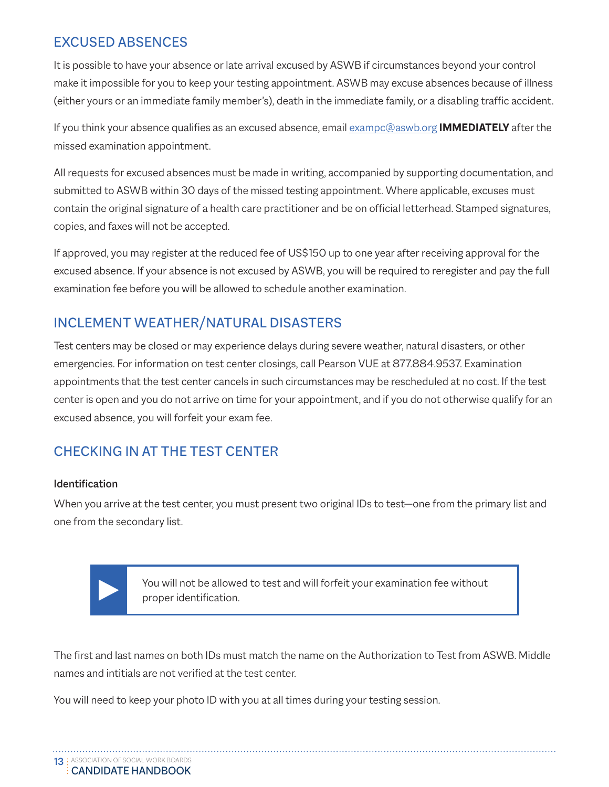### EXCUSED ABSENCES

It is possible to have your absence or late arrival excused by ASWB if circumstances beyond your control make it impossible for you to keep your testing appointment. ASWB may excuse absences because of illness (either yours or an immediate family member's), death in the immediate family, or a disabling traffic accident.

If you think your absence qualifies as an excused absen[ce, email](mailto:specialarrangements@aswb.org) [exampc@aswb.org](mailto:exampc%40aswb.org?subject=Excused%20Absence) **IMMEDIATELY** after the missed examination appointment.

All requests for excused absences must be made in writing, accompanied by supporting documentation, and submitted to ASWB within 30 days of the missed testing appointment. Where applicable, excuses must contain the original signature of a health care practitioner and be on official letterhead. Stamped signatures, copies, and faxes will not be accepted.

If approved, you may register at the reduced fee of US\$150 up to one year after receiving approval for the excused absence. If your absence is not excused by ASWB, you will be required to reregister and pay the full examination fee before you will be allowed to schedule another examination.

### INCLEMENT WEATHER/NATURAL DISASTERS

Test centers may be closed or may experience delays during severe weather, natural disasters, or other emergencies. For information on test center closings, call Pearson VUE at 877.884.9537. Examination appointments that the test center cancels in such circumstances may be rescheduled at no cost. If the test center is open and you do not arrive on time for your appointment, and if you do not otherwise qualify for an excused absence, you will forfeit your exam fee.

## CHECKING IN AT THE TEST CENTER

#### Identification

When you arrive at the test center, you must present two original IDs to test—one from the primary list and one from the secondary list.



You will not be allowed to test and will forfeit your examination fee without proper identification.

The first and last names on both IDs must match the name on the Authorization to Test from ASWB. Middle names and intitials are not verified at the test center.

You will need to keep your photo ID with you at all times during your testing session.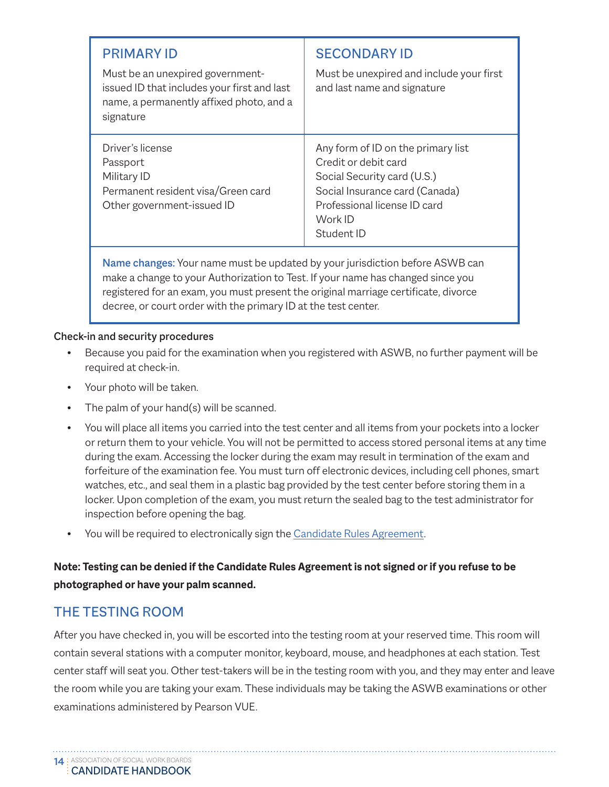| <b>PRIMARY ID</b><br>Must be an unexpired government-<br>issued ID that includes your first and last<br>name, a permanently affixed photo, and a<br>signature | <b>SECONDARY ID</b><br>Must be unexpired and include your first<br>and last name and signature                                                                                       |
|---------------------------------------------------------------------------------------------------------------------------------------------------------------|--------------------------------------------------------------------------------------------------------------------------------------------------------------------------------------|
| Driver's license<br>Passport<br>Military ID<br>Permanent resident visa/Green card<br>Other government-issued ID                                               | Any form of ID on the primary list<br>Credit or debit card<br>Social Security card (U.S.)<br>Social Insurance card (Canada)<br>Professional license ID card<br>Work ID<br>Student ID |

Name changes: Your name must be updated by your jurisdiction before ASWB can make a change to your Authorization to Test. If your name has changed since you registered for an exam, you must present the original marriage certificate, divorce decree, or court order with the primary ID at the test center.

#### Check-in and security procedures

- Because you paid for the examination when you registered with ASWB, no further payment will be required at check-in.
- Your photo will be taken.
- The palm of your hand(s) will be scanned.
- You will place all items you carried into the test center and all items from your pockets into a locker or return them to your vehicle. You will not be permitted to access stored personal items at any time during the exam. Accessing the locker during the exam may result in termination of the exam and forfeiture of the examination fee. You must turn off electronic devices, including cell phones, smart watches, etc., and seal them in a plastic bag provided by the test center before storing them in a locker. Upon completion of the exam, you must return the sealed bag to the test administrator for inspection before opening the bag.
- You will be required to electronically sign the [Candidate Rules Agreement](https://www.aswb.org/wp-content/uploads/2013/10/ASWBCandidateRulesAgreement.pdf).

#### **Note: Testing can be denied if the Candidate Rules Agreement is not signed or if you refuse to be photographed or have your palm scanned.**

#### THE TESTING ROOM

After you have checked in, you will be escorted into the testing room at your reserved time. This room will contain several stations with a computer monitor, keyboard, mouse, and headphones at each station. Test center staff will seat you. Other test-takers will be in the testing room with you, and they may enter and leave the room while you are taking your exam. These individuals may be taking the ASWB examinations or other examinations administered by Pearson VUE.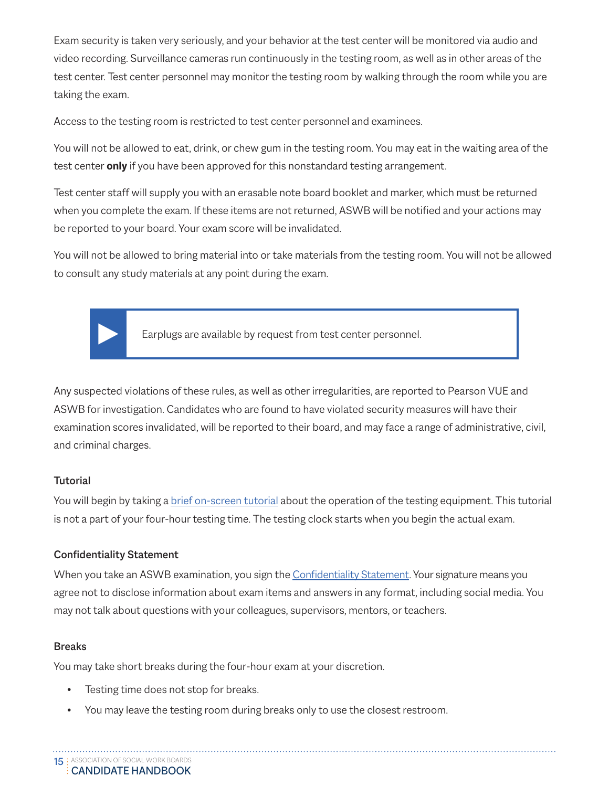Exam security is taken very seriously, and your behavior at the test center will be monitored via audio and video recording. Surveillance cameras run continuously in the testing room, as well as in other areas of the test center. Test center personnel may monitor the testing room by walking through the room while you are taking the exam.

Access to the testing room is restricted to test center personnel and examinees.

You will not be allowed to eat, drink, or chew gum in the testing room. You may eat in the waiting area of the test center **only** if you have been approved for this nonstandard testing arrangement.

Test center staff will supply you with an erasable note board booklet and marker, which must be returned when you complete the exam. If these items are not returned, ASWB will be notified and your actions may be reported to your board. Your exam score will be invalidated.

You will not be allowed to bring material into or take materials from the testing room. You will not be allowed to consult any study materials at any point during the exam.



Earplugs are available by request from test center personnel.

Any suspected violations of these rules, as well as other irregularities, are reported to Pearson VUE and ASWB for investigation. Candidates who are found to have violated security measures will have their examination scores invalidated, will be reported to their board, and may face a range of administrative, civil, and criminal charges.

#### **Tutorial**

You will begin by taking a [brief on-screen tutorial](http://www.pearsonvue.com/aswb/tutorial_screens.pdf) about the operation of the testing equipment. This tutorial is not a part of your four-hour testing time. The testing clock starts when you begin the actual exam.

#### Confidentiality Statement

When you take an ASWB examination, you sign the [Confidentiality Statemen](https://www.aswb.org/wp-content/uploads/2016/03/ASWB-Confidentiality-Statement-October-15-2010.pdf)t. Your signature means you agree not to disclose information about exam items and answers in any format, including social media. You may not talk about questions with your colleagues, supervisors, mentors, or teachers.

#### Breaks

You may take short breaks during the four-hour exam at your discretion.

- Testing time does not stop for breaks.
- You may leave the testing room during breaks only to use the closest restroom.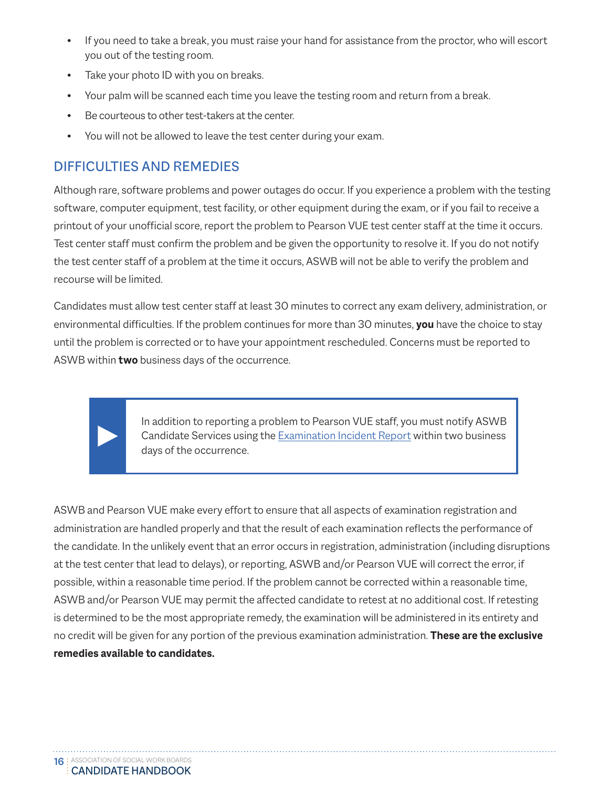- If you need to take a break, you must raise your hand for assistance from the proctor, who will escort you out of the testing room.
- Take your photo ID with you on breaks.
- Your palm will be scanned each time you leave the testing room and return from a break.
- Be courteous to other test-takers at the center.
- You will not be allowed to leave the test center during your exam.

#### DIFFICULTIES AND REMEDIES

Although rare, software problems and power outages do occur. If you experience a problem with the testing software, computer equipment, test facility, or other equipment during the exam, or if you fail to receive a printout of your unofficial score, report the problem to Pearson VUE test center staff at the time it occurs. Test center staff must confirm the problem and be given the opportunity to resolve it. If you do not notify the test center staff of a problem at the time it occurs, ASWB will not be able to verify the problem and recourse will be limited.

Candidates must allow test center staff at least 30 minutes to correct any exam delivery, administration, or environmental difficulties. If the problem continues for more than 30 minutes, **you** have the choice to stay until the problem is corrected or to have your appointment rescheduled. Concerns must be reported to ASWB within **two** business days of the occurrence.

> In addition to reporting a problem to Pearson VUE staff, you must notify ASWB Candidate Services using the **Examination Incident Report** within two business days of the occurrence.

ASWB and Pearson VUE make every effort to ensure that all aspects of examination registration and administration are handled properly and that the result of each examination reflects the performance of the candidate. In the unlikely event that an error occurs in registration, administration (including disruptions at the test center that lead to delays), or reporting, ASWB and/or Pearson VUE will correct the error, if possible, within a reasonable time period. If the problem cannot be corrected within a reasonable time, ASWB and/or Pearson VUE may permit the affected candidate to retest at no additional cost. If retesting is determined to be the most appropriate remedy, the examination will be administered in its entirety and no credit will be given for any portion of the previous examination administration. **These are the exclusive remedies available to candidates.**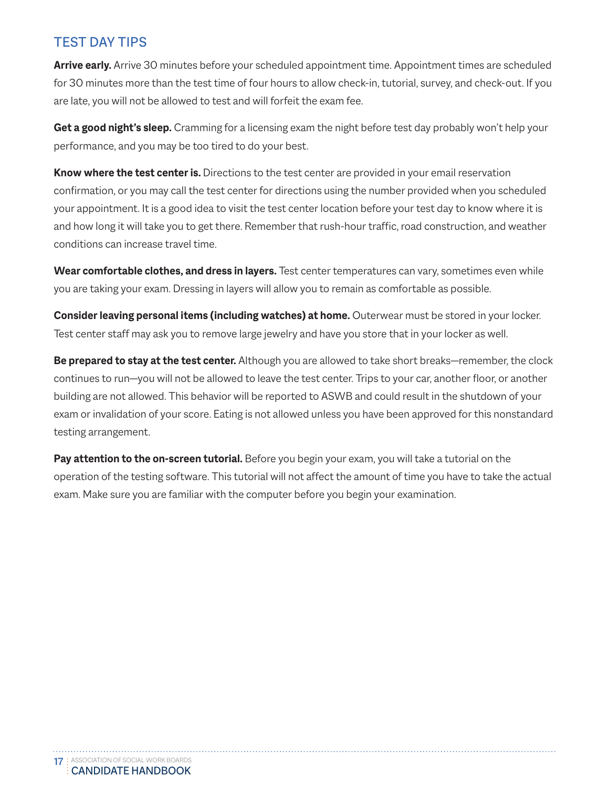#### TEST DAY TIPS

**Arrive early.** Arrive 30 minutes before your scheduled appointment time. Appointment times are scheduled for 30 minutes more than the test time of four hours to allow check-in, tutorial, survey, and check-out. If you are late, you will not be allowed to test and will forfeit the exam fee.

**Get a good night's sleep.** Cramming for a licensing exam the night before test day probably won't help your performance, and you may be too tired to do your best.

**Know where the test center is.** Directions to the test center are provided in your email reservation confirmation, or you may call the test center for directions using the number provided when you scheduled your appointment. It is a good idea to visit the test center location before your test day to know where it is and how long it will take you to get there. Remember that rush-hour traffic, road construction, and weather conditions can increase travel time.

Wear comfortable clothes, and dress in layers. Test center temperatures can vary, sometimes even while you are taking your exam. Dressing in layers will allow you to remain as comfortable as possible.

**Consider leaving personal items (including watches) at home.** Outerwear must be stored in your locker. Test center staff may ask you to remove large jewelry and have you store that in your locker as well.

**Be prepared to stay at the test center.** Although you are allowed to take short breaks—remember, the clock continues to run—you will not be allowed to leave the test center. Trips to your car, another floor, or another building are not allowed. This behavior will be reported to ASWB and could result in the shutdown of your exam or invalidation of your score. Eating is not allowed unless you have been approved for this nonstandard testing arrangement.

**Pay attention to the on-screen tutorial.** Before you begin your exam, you will take a tutorial on the operation of the testing software. This tutorial will not affect the amount of time you have to take the actual exam. Make sure you are familiar with the computer before you begin your examination.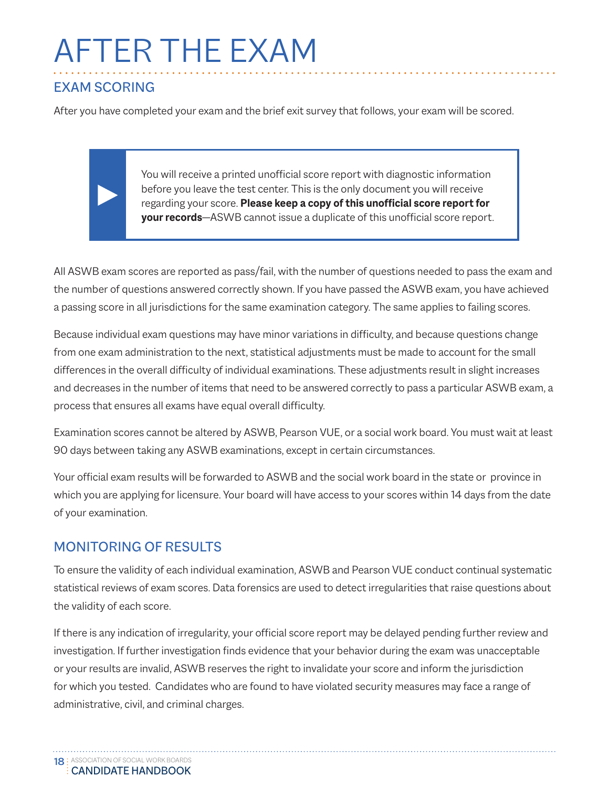# <span id="page-18-0"></span>AFTER THE EXAM

#### EXAM SCORING

After you have completed your exam and the brief exit survey that follows, your exam will be scored.

You will receive a printed unofficial score report with diagnostic information before you leave the test center. This is the only document you will receive regarding your score. **Please keep a copy of this unofficial score report for your records**—ASWB cannot issue a duplicate of this unofficial score report.

All ASWB exam scores are reported as pass/fail, with the number of questions needed to pass the exam and the number of questions answered correctly shown. If you have passed the ASWB exam, you have achieved a passing score in all jurisdictions for the same examination category. The same applies to failing scores.

Because individual exam questions may have minor variations in difficulty, and because questions change from one exam administration to the next, statistical adjustments must be made to account for the small differences in the overall difficulty of individual examinations. These adjustments result in slight increases and decreases in the number of items that need to be answered correctly to pass a particular ASWB exam, a process that ensures all exams have equal overall difficulty.

Examination scores cannot be altered by ASWB, Pearson VUE, or a social work board. You must wait at least 90 days between taking any ASWB examinations, except in certain circumstances.

Your official exam results will be forwarded to ASWB and the social work board in the state or province in which you are applying for licensure. Your board will have access to your scores within 14 days from the date of your examination.

#### MONITORING OF RESULTS

To ensure the validity of each individual examination, ASWB and Pearson VUE conduct continual systematic statistical reviews of exam scores. Data forensics are used to detect irregularities that raise questions about the validity of each score.

If there is any indication of irregularity, your official score report may be delayed pending further review and investigation. If further investigation finds evidence that your behavior during the exam was unacceptable or your results are invalid, ASWB reserves the right to invalidate your score and inform the jurisdiction for which you tested. Candidates who are found to have violated security measures may face a range of administrative, civil, and criminal charges.